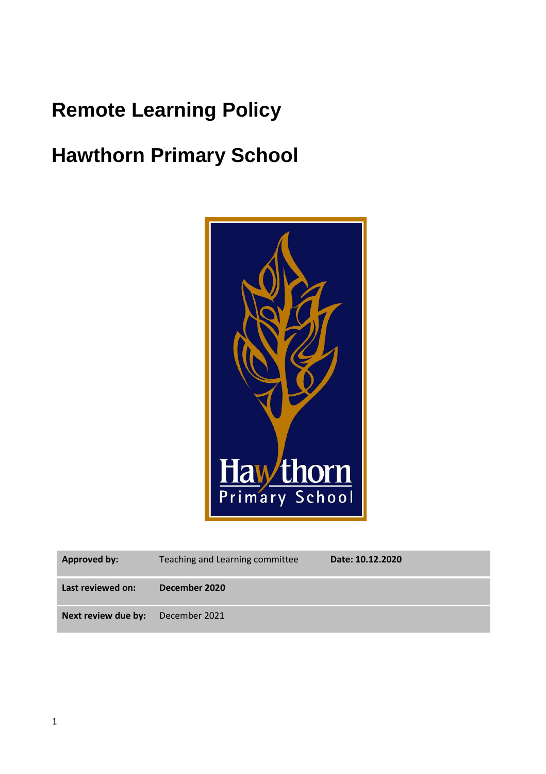## **Remote Learning Policy**

# **Hawthorn Primary School**



| <b>Approved by:</b> | Teaching and Learning committee | Date: 10.12.2020 |
|---------------------|---------------------------------|------------------|
| Last reviewed on:   | December 2020                   |                  |
| Next review due by: | December 2021                   |                  |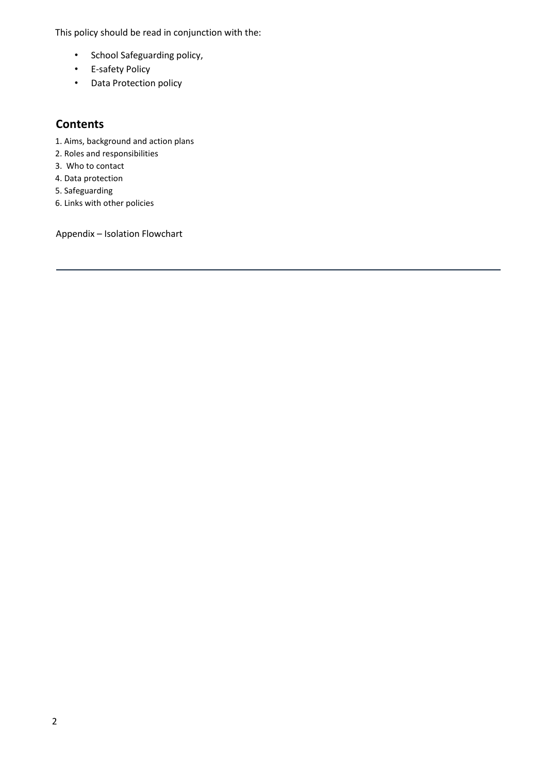This policy should be read in conjunction with the:

- School Safeguarding policy,
- E-safety Policy
- Data Protection policy

### **Contents**

- 1. Aims, background and action plans
- 2. Roles and responsibilities
- 3. Who to contact
- 4. Data protection
- 5. Safeguarding
- 6. Links with other policies

Appendix – Isolation Flowchart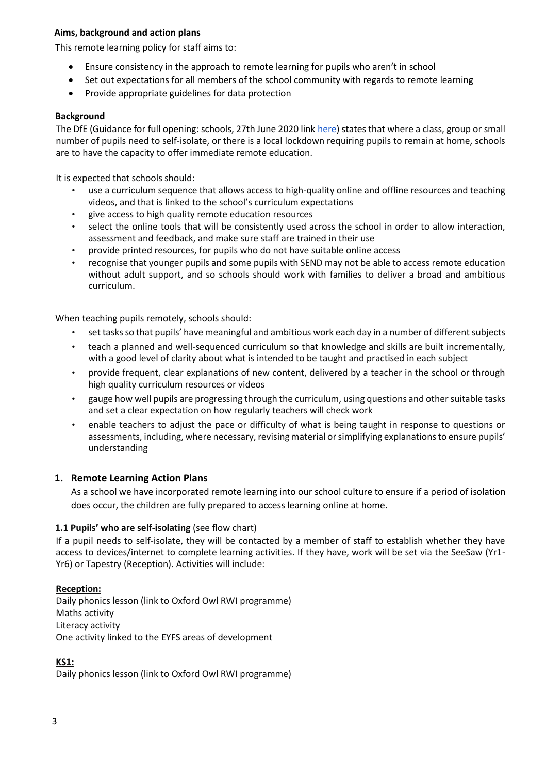#### **Aims, background and action plans**

This remote learning policy for staff aims to:

- Ensure consistency in the approach to remote learning for pupils who aren't in school
- Set out expectations for all members of the school community with regards to remote learning
- Provide appropriate guidelines for data protection

#### **Background**

The DfE (Guidance for full opening: schools, 27th June 2020 link [here\)](https://www.gov.uk/government/publications/actions-for-schools-during-the-coronavirus-outbreak/guidance-for-full-opening-schools) states that where a class, group or small number of pupils need to self-isolate, or there is a local lockdown requiring pupils to remain at home, schools are to have the capacity to offer immediate remote education.

It is expected that schools should:

- use a curriculum sequence that allows access to high-quality online and offline resources and teaching videos, and that is linked to the school's curriculum expectations
- give access to high quality remote education resources
- select the online tools that will be consistently used across the school in order to allow interaction, assessment and feedback, and make sure staff are trained in their use
- provide printed resources, for pupils who do not have suitable online access
- recognise that younger pupils and some pupils with SEND may not be able to access remote education without adult support, and so schools should work with families to deliver a broad and ambitious curriculum.

When teaching pupils remotely, schools should:

- set tasksso that pupils' have meaningful and ambitious work each day in a number of different subjects
- teach a planned and well-sequenced curriculum so that knowledge and skills are built incrementally, with a good level of clarity about what is intended to be taught and practised in each subject
- provide frequent, clear explanations of new content, delivered by a teacher in the school or through high quality curriculum resources or videos
- gauge how well pupils are progressing through the curriculum, using questions and other suitable tasks and set a clear expectation on how regularly teachers will check work
- enable teachers to adjust the pace or difficulty of what is being taught in response to questions or assessments, including, where necessary, revising material or simplifying explanations to ensure pupils' understanding

#### **1. Remote Learning Action Plans**

As a school we have incorporated remote learning into our school culture to ensure if a period of isolation does occur, the children are fully prepared to access learning online at home.

#### **1.1 Pupils' who are self-isolating** (see flow chart)

If a pupil needs to self-isolate, they will be contacted by a member of staff to establish whether they have access to devices/internet to complete learning activities. If they have, work will be set via the SeeSaw (Yr1- Yr6) or Tapestry (Reception). Activities will include:

#### **Reception:**

Daily phonics lesson (link to Oxford Owl RWI programme) Maths activity Literacy activity One activity linked to the EYFS areas of development

#### **KS1:**

Daily phonics lesson (link to Oxford Owl RWI programme)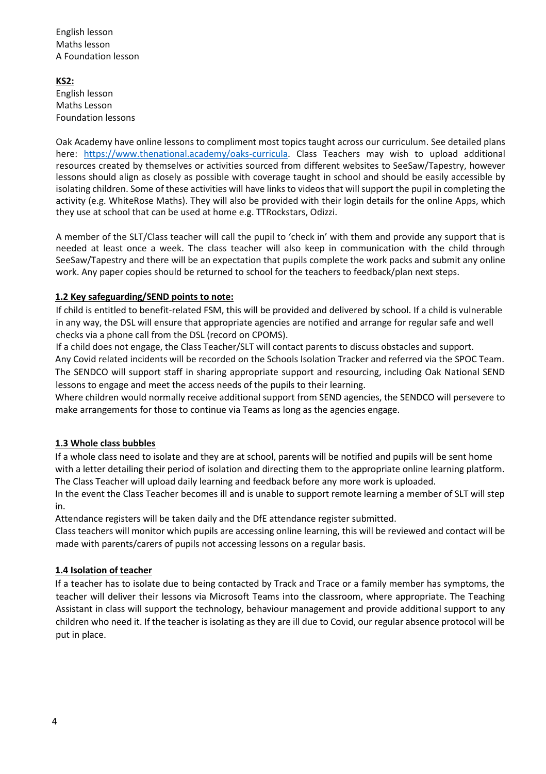English lesson Maths lesson A Foundation lesson

**KS2:**  English lesson Maths Lesson Foundation lessons

Oak Academy have online lessons to compliment most topics taught across our curriculum. See detailed plans here: [https://www.thenational.academy/oaks-curricula.](https://www.thenational.academy/oaks-curricula) Class Teachers may wish to upload additional resources created by themselves or activities sourced from different websites to SeeSaw/Tapestry, however lessons should align as closely as possible with coverage taught in school and should be easily accessible by isolating children. Some of these activities will have links to videos that will support the pupil in completing the activity (e.g. WhiteRose Maths). They will also be provided with their login details for the online Apps, which they use at school that can be used at home e.g. TTRockstars, Odizzi.

A member of the SLT/Class teacher will call the pupil to 'check in' with them and provide any support that is needed at least once a week. The class teacher will also keep in communication with the child through SeeSaw/Tapestry and there will be an expectation that pupils complete the work packs and submit any online work. Any paper copies should be returned to school for the teachers to feedback/plan next steps.

#### **1.2 Key safeguarding/SEND points to note:**

If child is entitled to benefit-related FSM, this will be provided and delivered by school. If a child is vulnerable in any way, the DSL will ensure that appropriate agencies are notified and arrange for regular safe and well checks via a phone call from the DSL (record on CPOMS).

If a child does not engage, the Class Teacher/SLT will contact parents to discuss obstacles and support.

Any Covid related incidents will be recorded on the Schools Isolation Tracker and referred via the SPOC Team. The SENDCO will support staff in sharing appropriate support and resourcing, including Oak National SEND lessons to engage and meet the access needs of the pupils to their learning.

Where children would normally receive additional support from SEND agencies, the SENDCO will persevere to make arrangements for those to continue via Teams as long as the agencies engage.

#### **1.3 Whole class bubbles**

If a whole class need to isolate and they are at school, parents will be notified and pupils will be sent home with a letter detailing their period of isolation and directing them to the appropriate online learning platform. The Class Teacher will upload daily learning and feedback before any more work is uploaded.

In the event the Class Teacher becomes ill and is unable to support remote learning a member of SLT will step in.

Attendance registers will be taken daily and the DfE attendance register submitted.

Class teachers will monitor which pupils are accessing online learning, this will be reviewed and contact will be made with parents/carers of pupils not accessing lessons on a regular basis.

#### **1.4 Isolation of teacher**

If a teacher has to isolate due to being contacted by Track and Trace or a family member has symptoms, the teacher will deliver their lessons via Microsoft Teams into the classroom, where appropriate. The Teaching Assistant in class will support the technology, behaviour management and provide additional support to any children who need it. If the teacher is isolating as they are ill due to Covid, our regular absence protocol will be put in place.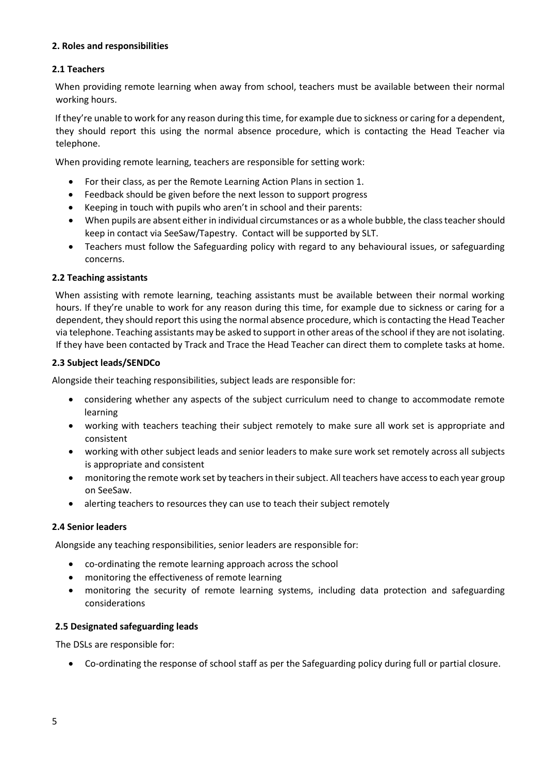#### **2. Roles and responsibilities**

#### **2.1 Teachers**

When providing remote learning when away from school, teachers must be available between their normal working hours.

If they're unable to work for any reason during this time, for example due to sickness or caring for a dependent, they should report this using the normal absence procedure, which is contacting the Head Teacher via telephone.

When providing remote learning, teachers are responsible for setting work:

- For their class, as per the Remote Learning Action Plans in section 1.
- Feedback should be given before the next lesson to support progress
- Keeping in touch with pupils who aren't in school and their parents:
- When pupils are absent either in individual circumstances or as a whole bubble, the classteacher should keep in contact via SeeSaw/Tapestry. Contact will be supported by SLT.
- Teachers must follow the Safeguarding policy with regard to any behavioural issues, or safeguarding concerns.

#### **2.2 Teaching assistants**

When assisting with remote learning, teaching assistants must be available between their normal working hours. If they're unable to work for any reason during this time, for example due to sickness or caring for a dependent, they should report this using the normal absence procedure, which is contacting the Head Teacher via telephone. Teaching assistants may be asked to support in other areas of the school if they are not isolating. If they have been contacted by Track and Trace the Head Teacher can direct them to complete tasks at home.

#### **2.3 Subject leads/SENDCo**

Alongside their teaching responsibilities, subject leads are responsible for:

- considering whether any aspects of the subject curriculum need to change to accommodate remote learning
- working with teachers teaching their subject remotely to make sure all work set is appropriate and consistent
- working with other subject leads and senior leaders to make sure work set remotely across all subjects is appropriate and consistent
- monitoring the remote work set by teachers in their subject. All teachers have access to each year group on SeeSaw.
- alerting teachers to resources they can use to teach their subject remotely

#### **2.4 Senior leaders**

Alongside any teaching responsibilities, senior leaders are responsible for:

- co-ordinating the remote learning approach across the school
- monitoring the effectiveness of remote learning
- monitoring the security of remote learning systems, including data protection and safeguarding considerations

#### **2.5 Designated safeguarding leads**

The DSLs are responsible for:

• Co-ordinating the response of school staff as per the Safeguarding policy during full or partial closure.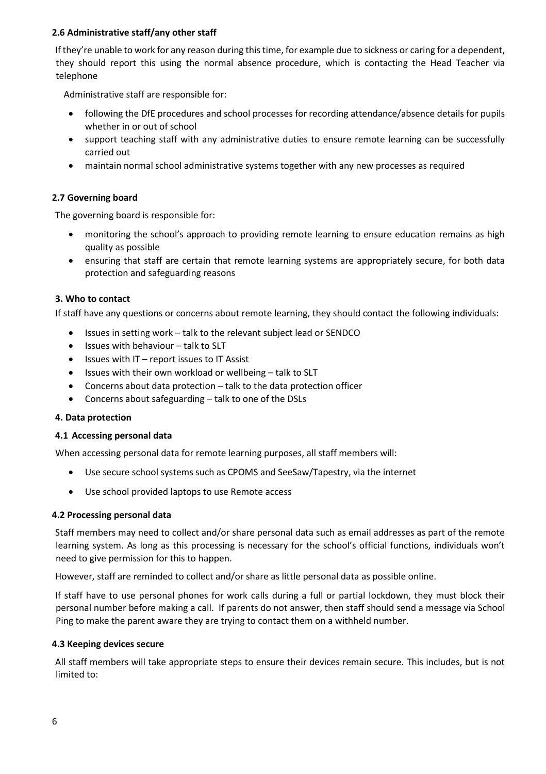#### **2.6 Administrative staff/any other staff**

If they're unable to work for any reason during this time, for example due to sickness or caring for a dependent, they should report this using the normal absence procedure, which is contacting the Head Teacher via telephone

Administrative staff are responsible for:

- following the DfE procedures and school processes for recording attendance/absence details for pupils whether in or out of school
- support teaching staff with any administrative duties to ensure remote learning can be successfully carried out
- maintain normal school administrative systems together with any new processes as required

#### **2.7 Governing board**

The governing board is responsible for:

- monitoring the school's approach to providing remote learning to ensure education remains as high quality as possible
- ensuring that staff are certain that remote learning systems are appropriately secure, for both data protection and safeguarding reasons

#### **3. Who to contact**

If staff have any questions or concerns about remote learning, they should contact the following individuals:

- Issues in setting work talk to the relevant subject lead or SENDCO
- Issues with behaviour talk to SLT
- Issues with IT report issues to IT Assist
- Issues with their own workload or wellbeing talk to SLT
- Concerns about data protection talk to the data protection officer
- Concerns about safeguarding talk to one of the DSLs

#### **4. Data protection**

#### **4.1 Accessing personal data**

When accessing personal data for remote learning purposes, all staff members will:

- Use secure school systems such as CPOMS and SeeSaw/Tapestry, via the internet
- Use school provided laptops to use Remote access

#### **4.2 Processing personal data**

Staff members may need to collect and/or share personal data such as email addresses as part of the remote learning system. As long as this processing is necessary for the school's official functions, individuals won't need to give permission for this to happen.

However, staff are reminded to collect and/or share as little personal data as possible online.

If staff have to use personal phones for work calls during a full or partial lockdown, they must block their personal number before making a call. If parents do not answer, then staff should send a message via School Ping to make the parent aware they are trying to contact them on a withheld number.

#### **4.3 Keeping devices secure**

All staff members will take appropriate steps to ensure their devices remain secure. This includes, but is not limited to: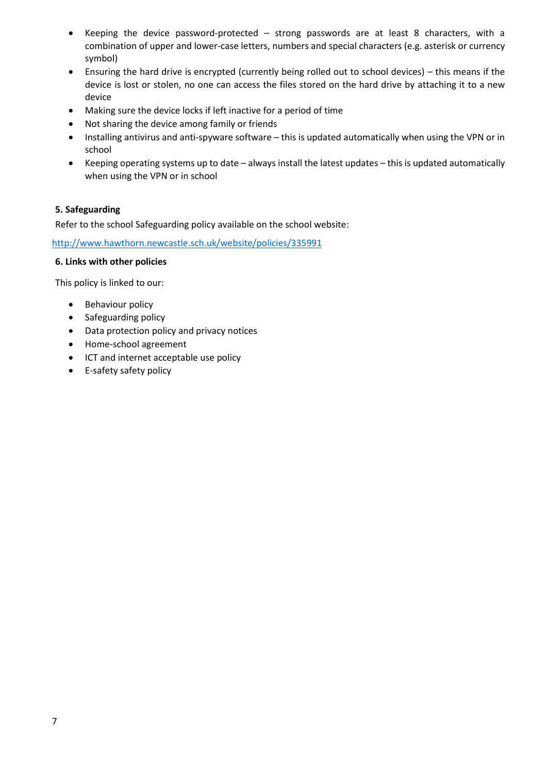- Keeping the device password-protected strong passwords are at least 8 characters, with a combination of upper and lower-case letters, numbers and special characters (e.g. asterisk or currency symbol)
- Ensuring the hard drive is encrypted (currently being rolled out to school devices) this means if the device is lost or stolen, no one can access the files stored on the hard drive by attaching it to a new device
- Making sure the device locks if left inactive for a period of time
- Not sharing the device among family or friends
- Installing antivirus and anti-spyware software this is updated automatically when using the VPN or in school
- Keeping operating systems up to date always install the latest updates this is updated automatically when using the VPN or in school

#### **5. Safeguarding**

Refer to the school Safeguarding policy available on the school website:

<http://www.hawthorn.newcastle.sch.uk/website/policies/335991>

#### **6. Links with other policies**

This policy is linked to our:

- Behaviour policy
- Safeguarding policy
- Data protection policy and privacy notices
- Home-school agreement
- ICT and internet acceptable use policy
- E-safety safety policy